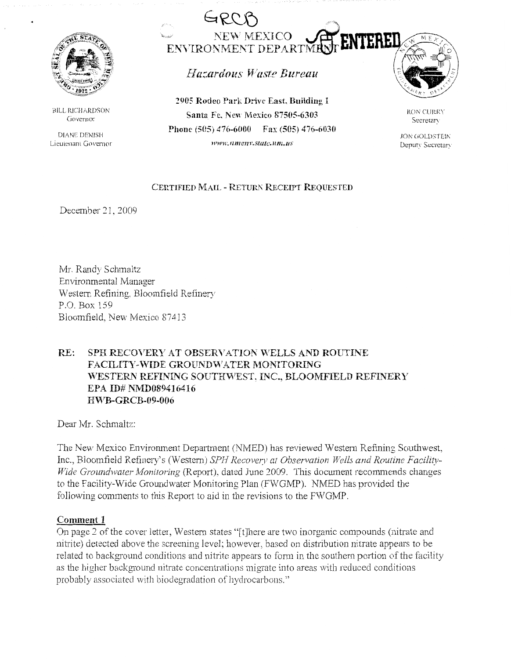

BILL RICHARDSON Governor

DIANE DENISH Lieutenant Governor



Hazardous Waste Bureau

**2905 Rodeo Park Drive East. Building** I **Santa Fe. New Mexico 87505-6303 Phone (5H5) 476-6000 Fax (505) 476-6030 H'l1'H'.lllllC/l)'.Slale.lll1l.l/S** 



RON CURRY **Secretary** 

JON GOLDSTEIN Deputy Secretary

### **CERTIFIED MAIL** - **RETURJ\ RECEIPT REQUESTED**

December 21, 2009

Mr. Randy Schmaltz Environmental Manager Western Refining. Bloomfield Refinery P.O. Box 159 Bloomfield, New Mexico 87413

## **RE:** SPH RECOVERY AT OBSERVATION WELLS AND ROUTINE **FACILITY-WIDE GROUNDWATER MONITORING "\\<sup>1</sup> ESTERN REFLNING SOUTH\VEST~ INC., BLOOMFIELD REFINERY EPA ID# NMD089416416 HVVB-GR CB-09-006**

Dear Mr. Schmaltz:

The New Mexico Environment Department (NMED) has reviewed Western Refining Southwest, Inc., Bloomfield Refinery's (Western) *SPH Recovery at Observation Wells and Routine Facility- Wide Groundwater Monitoring* (Report), dated June 2009. This document recommends changes to the Facility-Wide Groundwater Monitoring Plan (FWGMP), NMED has provided the following comments to this Report to aid in the revisions to the FWGMP.

#### **Comment 1**

On page 2 of the cover letter, Western states "[t]here are two inorganic compounds (nitrate and nitrite) detected above the screening level; however, based on distribution nitrate appears to be related to background conditions and nitrite appears to form in the southern portion of the facility as the higher background nitrate concentrations migrate into areas with reduced conditions probably associated with biodegradation of hydrocarbons."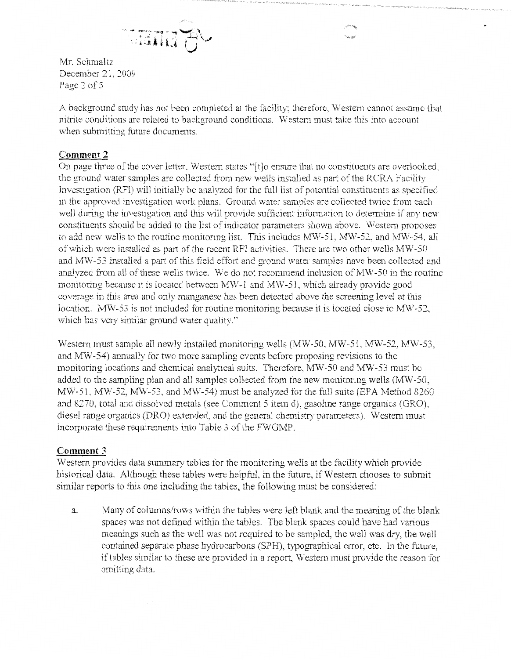

Mr. Schmaltz December 21, 2009 Page *2* of 5

A background study has not been completed at the facility; therefore, Western cannot assume that nitrite conditions are related to background conditions. Western must take this into account when submitting future documents.

### **Comment 2**

On page three of the cover letter. Western states "[ t Jo ensure that no constituents are overlooked, the ground water samples are collected from new wells installed as part of the RCRA Facility Investigation (RFI) will initially be analyzed for the full list of potential constituents as specified in the approved investigation work plans. Ground water samples are collected twice from each well during the investigation and this will provide sufficient information to determine if any new constituents should be added to the list of indicator parameters shown above. Western proposes to add new wells to the routine monitoring list. This includes  $MW-51$ ,  $MW-52$ , and  $MW-54$ , all of which were installed as part of the recent RFl activities. There are two other wells MW-50 and MW-53 installed a part of this field effort and ground water samples have been collected and analyzed from all of these wells twice. We do not recommend inclusion of MW-50 in the routine monitoring because it is located between MW-1 and MW-51, which already provide good coverage in this area and only manganese has been detected above the screening level at this location. MW-53 is not included for routine monitoring because it is located close to MW-52, which has very similar ground water quality."

Western must sample all newly installed monitoring wells (MW-50, MW-51, MW-52, MW-53, and MW-54) annually for two more sampling events before proposing revisions to the monitoring locations and chemical analytical suits. Therefore, MW-50 and MW-53 must be added to the sampling plan and al1 samples collected from the new monitoring wells (MW-50, MW-51, MW-52, MW-53, and MW-54) must be analyzed for the full suite (EPA Method 8260 and 8270, total and dissolved metals (see Comment 5 item d), gasoline range organics (GRO), diesel range organics (DRO) extended, and the general chemistry parameters). Western must incorporate these requirements into Table 3 of the FWGMP.

#### **Comment 3**

Western provides data summary tables for the monitoring wells at the facility which provide historical data. Although these tables were helpful, in the future, if Western chooses to submit similar reports to this one including the tables, the following must be considered:

a. Many of columns/rows within the tables were left blank and the meaning of the blank spaces was not defined within the tables. The blank spaces could have had various meanings such as the well was not required to be sampled, the well was dry, the well contained separate phase hydrocarbons (SPH), typographical error, etc. In the future, if tables similar to these are provided in a report, Western must provide the reason for omitting data.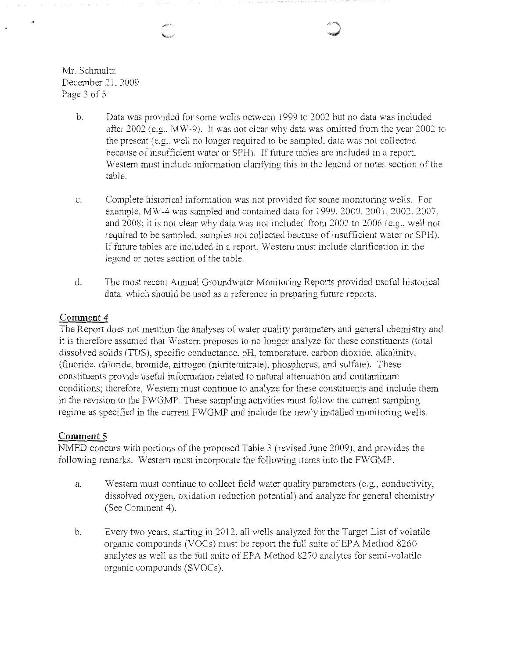Mr. Schmaltz December *21. 2009*  Page 3 of 5

- b. Data was provided for some wells between 1999 to 2002 but no data was included after 2002 (e.g., MW-9). It was not clear why data was omitted from the year 2002 to the present (e.g., well no longer required to be sampled, data was not collected because of insufficient water or SPH). If future tables are included in a report. Western must include information clarifying this in the legend or notes section of the table.
- c. Complete historical information was not provided for some monitoring wells. For example. MW-4 was sampled and contained data for 1999. 2000, 2001, 2002, 2007. and 2008; it is not clear why data was not included from 2003 to 2006 (e.g., well not required to be sampled, samples not collected because of insufficient water or SPH). If future tables are included in a report. Western must include clarification in the legend or notes section of the table.
- d. The most recent Annual Groundwater Monitoring Reports provided useful historical data, which should be used as a reference in preparing future reports.

### Comment 4

The Report does not mention the analyses of water quality parameters and general chemistry and it is therefore assumed that Western proposes to no longer analyze for these constituents (total dissolved solids (TDS), specific conductance, pH, temperature, carbon dioxide, alkalinity. (fluoride, chloride, bromide, nitrogen (nitrite/nitrate), phosphorus, and sulfate). These constituents provide useful information related to natural attenuation and contaminant conditions; therefore, W estern must continue to analyze for these constituents and include them in the revision to the FWGMP. These sampling activities must follow the current sampling regime as specified in the current FWGMP and include the newly installed monitoring wells.

# **Comment 5**

NMED concurs with portions of the proposed Table 3 (revised June 2009), and provides the following remarks. Western must incorporate the following items into the FWGMP.

- a. Western must continue to collect field water quality parameters (e.g., conductivity, dissolved oxygen, oxidation reduction potential) and analyze for general chemistry (See Comment 4).
- b. Every two years, starting in 2012, all wells analyzed for the Target List of volatile organic compounds (VOCs) must be report the full suite of EPA Method 8260 analytes as well as the foll suite of EPA Method 8270 analytes for semi-volatile organic compounds (SVOCs).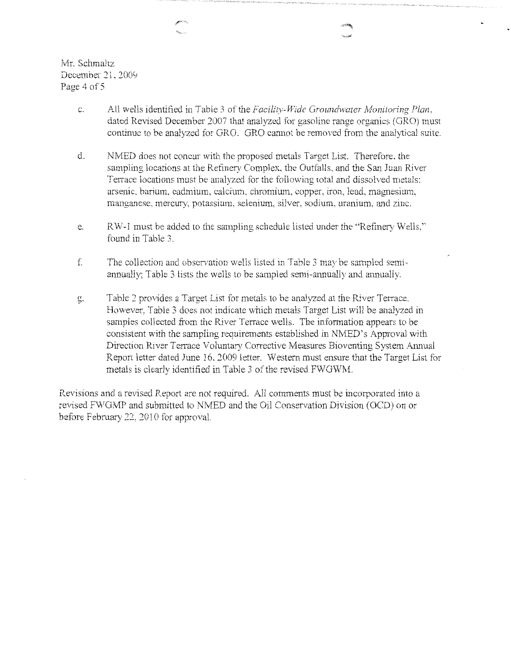Mr. Schmaltz December 21, *2000*  Page 4 of 5

- c. All wells identified in Table 3 of the *Facility-VVidc Groundwater Monitoring Plan,*  dated Revised December 2007 that analyzed for gasoline range organics (GRO) must continue to be analyzed for GRO. GRO cannot be removed from the analytical suite.
- d. NMED does not concur with the proposed metals Target List. Therefore. the sampling locations at the Refinery Complex. the Outfalls, and the San Juan River Terrace locations must be analyzed for the following total and dissolved metals: arsenic. barium. cadmium, calcium. chromium, copper, iron, lead, magnesium, manganese. mercury, potassium. selenium, silver, sodium, uranium, and zinc.
- e. RW-1 must be added to the sampling schedule listed under the "Refinery Wells,'' found in Table 3.
- f. The collection and observation wells listed in Table 3 may be sampled semiammally; Table 3 lists the wells to be sampled semi-annually and annually.
- g. Table 2 provides a Target List for metals to be analyzed at the River Terrace. However, Table 3 does not indicate which metals Target List will be analyzed in samples collected from the River Terrace wells. The information appears to be consistent with the sampling requirements established in NMED's Approval with Direction River Terrace Voluntary Corrective Measures Bioventing System Annual Report letter dated June 16, 2009 letter. Western must ensure that the Target List for metals is clearly identified in Table 3 of the revised FWGWM.

Revisions and a revised Report are not required. All comments must be incorporated into a revised FWGMP and submitted to NMED and the Oil Conservation Division (OCD) on or before February 22, 2010 for approval.